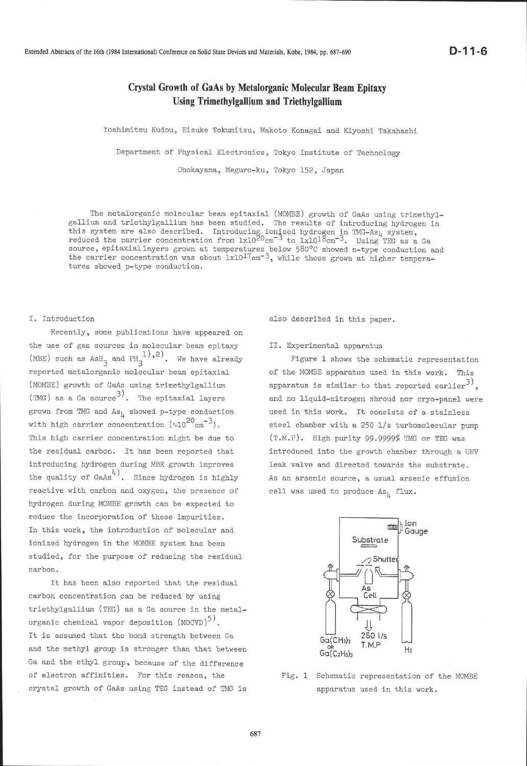Extended Abstracts of the l6th (1984 International) Conference on Solid State Devices and Materials, Kobe, 1984, pp. 687-690

# Crystal Growth of GaAs by Metalorganic Molecular Beam Epitaxy Using Trimethylgallium and Triethylgallium

Yoshimitsu Kudou, Eisuke Tokumitsu, Makoto Konagai and Kiyoshi Takahashi

Department of Physical Electronics, Tokyo Institute of Technology

Ohokayama, Meguro-ku, Tokyo 152, Japan

The metalorganic molecular beam epitaxial (MOMBE) growth of GaAs using trimethyl-<br>gallium and triethylgallium has been studied. The results of introducing hydrogen in gallium and triethylgallium has been studied. The results of introducing hydrogen in rhis system are also described. Introducing ionized hydrogen in TMG-As<sub>1</sub> system, reduced the carrier concentration from  $lx10^{20}cm^{-3}$  to  $lx10^{18}cm^{-3}$ . Using TEG as a Ga source, epitaxial layers grown at temperatures below 580°C showed n-type conduction and the carrier concentration was about  $1x10^{17}cm^{-3}$ , while those grown at higher temperatures showed. p-type conduction.

## I. Introduction

Recently, some publications have appeared on the use of gas sources in molecular beam epitaxy (MBE) such as  $AsH_{3}$  and  $PH_{3}^{1,2}$ . We have already reported metalorganic molecular beam epitaxial (MOMBE) growth of GaAs using trimethylgallium (TMG) as a Ga source<sup>3)</sup>. The epitaxial layers grown from TMG and As, showed p-type conduction with high carrier concentration  $(\sim 10^{20} \text{cm}^{-3})$ . This high carrier concentration might be due to the residual carbon. It has been reported that introducing hydrogen during MBE growth improves the quality of GaAs<sup>4)</sup>. Since hydrogen is highly reactive with carbon and oxygen, the presence of hydrogen during MOMBE growth can be expected to reduce the incorporation of these impurities. In this work, the introduction of molecular and ionized hydrogen in the MOMBE system has been studied, for the purpose of reducing the residual carbon.

It has been also reported that the residual carbon concentration can be reduced by using triethylgallium (TEG) as a Ga source in the metalorganic chemical vapor deposition (MOCVD)<sup>5)</sup>. It is assumed that the bond strength between Ga and the methyl group is stronger than that between Ga and the ethyl group, because of the difference of electron affinities. For this reason, the crystal growth of GaAs using TEG instead of TMG is

also described in this paper.

### II. Experimental apparatus

Figure L shows the schematic representation of the MOMBE apparatus used in this vork. This apparatus is similar to that reported earlier<sup>3)</sup>. and no liquid-nitrogen shroud nor cryo-panel were used in this work. It consists of a stainless steel chamber with a 250  $1/s$  turbomolecular pump  $(T.M.P)$ . High purity 99.9999% TMG or TEG was introduced into the growth chamber through a UHV leak valve and directed towards the substrate. As an arsenic source, a usual arsenic effusion cell was used to produce As<sub>)</sub> flux.



Fig. 1 Schematic representation of the MOMBE apparatus used in this work.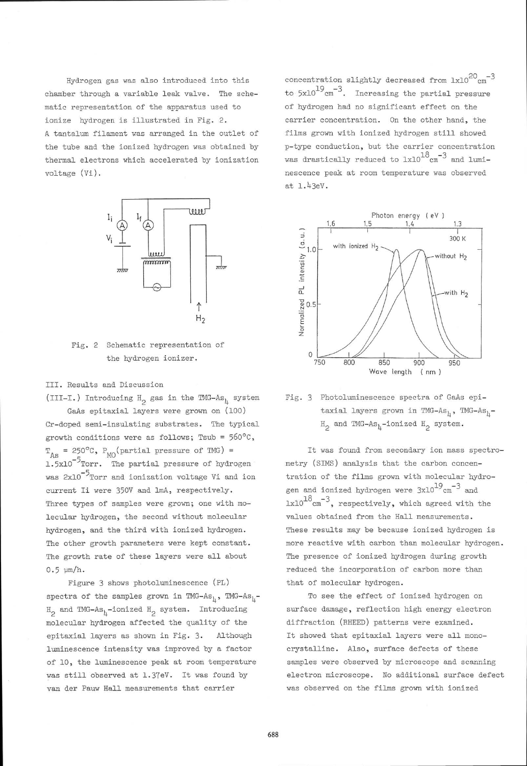Hydrogen gas was also introduced into this chamber through a variable leak valve. The schematic representation of the apparatus used to ionize hydrogen is illustrated in Fig. 2. A tantalum filament was arranged in the outlet of the tube and the ionized hydrogen was obtained by thermal electrons which accelerated by ionization voltage (Vi).



Fig. 2 Schematic representation of the hydrogen ionizer.

III. Results and Discussion

(III-I.) Introducing H<sub>2</sub> gas in the TMG-As<sub>l</sub> system GaAs epitaxial layers were grown on (100) Cr-doped semi-insulating substrates. The typical growth conditions were as follows; Tsub =  $560^{\circ}$ C,  $T_{As}$  = 250°C,  $P_{MO}$ (partial pressure of TMG) = 1.5x10<sup>-5</sup> Torr. The partial pressure of hydrogen was 2x10<sup>-5</sup>Torr and ionization voltage Vi and ion current Ii were 350V and lmA, respectively. Three types of samples were grown; one with molecular hydrogen, the second without molecular hydrogen, and the third with ionized hydrogen. The other growth parameters vere kept constant. The growth rate of these layers were all about  $0.5 \mu m/h$ .

Figure 3 shows photoluminescence (PL) spectra of the samples grown in TMG-As<sub>1</sub>, TMG-As<sub>1</sub>- $H^o$  and TMG-As<sub>h</sub>-ionized  $H^o$  system. Introducing molecular hydrogen affected the quality of the epitaxial layers as shovn in Fig. 3. Although luminescenee intensity was improved. by a factor of 10, the luminescence peak at room temperature was still observed at 1.37eV. It was found by van der Pauw Hall measurements that carrier

concentration slightly decreased from  $lx10^{20}$  cm<sup>-3</sup> to  $5x10^{19}$   $cm^{-3}$ . Increasing the partial pressure of hydrogen had no significant effect on the carrier concentration. On the other hand, the films grown with ionized hydrogen still showed n-type conduction, but the carrier concentration was drastically reduced to  $lx10^{18}$  cm<sup>-3</sup> and luminescence peak at room temperature was observed at 1.43eV.



Fig. 3 Photoluminescence spectra of GaAs epitaxial layers grown in TMG-As<sub>1</sub>, TMG-As<sub>1</sub>- $H_2$  and TMG-As<sub>l</sub>-ionized  $H_2$  system

It was found from secondary ion mass spectrometry (SIMS) analysis that the carbon concentration of the films grown with molecular hydrogen and ionized hydrogen were  $3x10^{19}$ cm<sup>-3</sup> and  $1 \times 10^{18}$  cm<sup>-3</sup>, respectively, which agreed with the values obtained from the Hall measurements. These results may be because ionized hydrogen is more reactive with carbon than molecular hydrogen. The presence of ionized hydrogen during growth reduced. the incorporation of carbon more than that of molecular hydrogen.

To see the effect of ionized hydrogen on surface damage, reflection high energy electron diffraction (RHEED) patterns were examined. It showed that epitaxial layers were all monocrystalline. Also, surface defects of these samples were observed by microscope and scanning electron microscope. No additional surface defect was observed on the films grown with ionized

688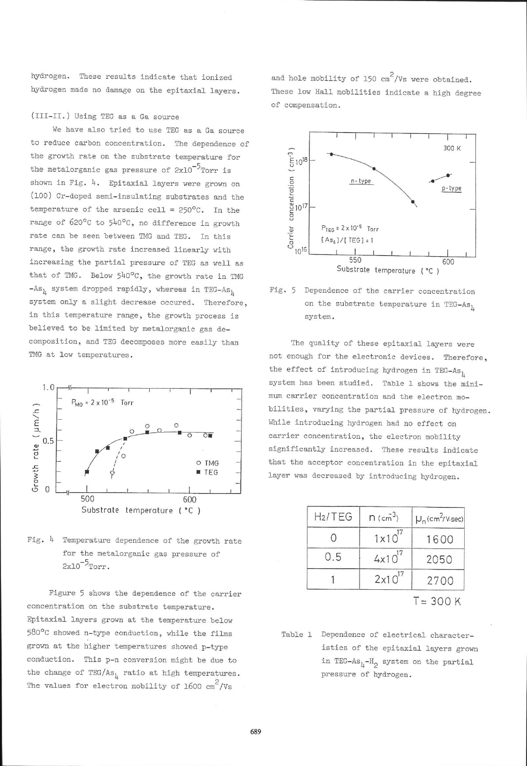hydrogen. These results indicate that ionized hydrogen made no damage on the epitaxial layers.

### (III-II.) Using TEG as a Ga source

We have also tried to use TEG as a Ga source to reduce carbon concentration. The dependence of the growth rate on the substrate temperature for the metalorganic gas pressure of  $2x10^{-5}$ Torr is shown in Fig. 4. Epitaxial layers were grown on (100) Cr-doped semi-insulating substrates and the temperature of the arsenic cell =  $250^{\circ}$ C. In the range of 620°C to 540°C, no difference in growth rate can be seen between TMG and TEG. In this range, the growth rate increased linearly with increasing the partial pressure of TEG as well as that of TMG. Below 540°C, the growth rate in TMG  $-As_{\text{h}}$  system dropped rapidly, whereas in TEG-As, system only a slight decrease occured. Therefore, in this temperature range, the growth process is believed to be limited by metalorganic gas decomposition, and TEG decomposes more easily than TMG at low temperatures.



Fig. 4 Temperature dependence of the growth rate for the metalorganic gas pressure of  $2x10^{-5}$ Torr.

Figure 5 shows the dependence of the carrier concentration on the substrate temperature. Epitaxial layers grown at the temperature below 580°C showed n-type conduction, while the films grown at the higher temperatures showed p-type conduction. This p-n conversion might be due to the change of TEG/As, ratio at high temperatures. The values for electron mobility of 1600  $\text{cm}^2/\text{Vs}$ 

and hole mobility of 150  $\text{cm}^2/\text{Vs}$  were obtained. These low Hall mobilities indicate a high degree of compensation.



Fig. 5 Dependence of the carrier concentration on the substrate temperature in TEG-As, system.

The quality of these epitaxial layers were not enough for the electronic devices. Therefore, the effect of introducing hydrogen in TEG-As, system has been studied. Table 1 shows the minimum carrier concentration and the electron mobilities, varying the partial pressure of hydrogen. While introducing hydrogen had no effect on carrier concentration, the electron mobility significantly increased. These results indicate that the acceptor concentration in the epitaxial layer was decreased by introducing hydrogen.

| H <sub>2</sub> /TEG | $n$ (cm <sup>3</sup> ) | $\mu_n$ (cm <sup>2</sup> /V.sec) |
|---------------------|------------------------|----------------------------------|
|                     | $1 \times 10^{17}$     | 1600                             |
| 0.5                 | $4x10^{17}$            | 2050                             |
|                     | $2 \times 10^{17}$     | 2700                             |
|                     |                        | $= 300$                          |

Table 1 Dependence of electrical characteristics of the epitaxial layers grown in TEG-As<sub>1</sub>-H<sub>2</sub> system on the partial pressure of hydrogen.